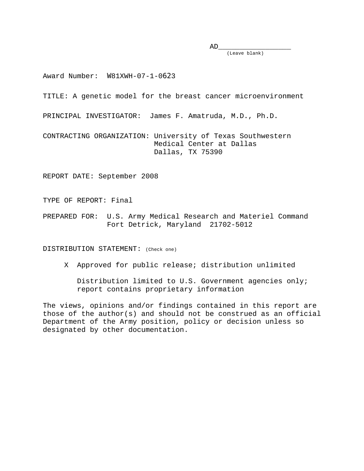AD\_\_\_\_\_\_\_\_\_\_\_\_\_\_\_\_\_

(Leave blank)

Award Number: W81XWH-07-1-0623

TITLE: A genetic model for the breast cancer microenvironment

PRINCIPAL INVESTIGATOR: James F. Amatruda, M.D., Ph.D.

CONTRACTING ORGANIZATION: University of Texas Southwestern Medical Center at Dallas Dallas, TX 75390

REPORT DATE: September 2008

TYPE OF REPORT: Final

PREPARED FOR: U.S. Army Medical Research and Materiel Command Fort Detrick, Maryland 21702-5012

DISTRIBUTION STATEMENT: (Check one)

X Approved for public release; distribution unlimited

 Distribution limited to U.S. Government agencies only; report contains proprietary information

The views, opinions and/or findings contained in this report are those of the author(s) and should not be construed as an official Department of the Army position, policy or decision unless so designated by other documentation.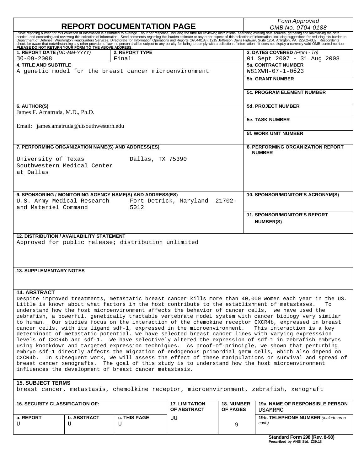| <b>REPORT DOCUMENTATION PAGE</b>                                                                                                                                                                                               |                                                                                                      |                                                           |                                      |                                      | Form Approved<br>OMB No. 0704-0188                                                                      |  |  |
|--------------------------------------------------------------------------------------------------------------------------------------------------------------------------------------------------------------------------------|------------------------------------------------------------------------------------------------------|-----------------------------------------------------------|--------------------------------------|--------------------------------------|---------------------------------------------------------------------------------------------------------|--|--|
|                                                                                                                                                                                                                                |                                                                                                      |                                                           |                                      |                                      |                                                                                                         |  |  |
| Public reporting burden for this collection of information is estimated to average 1 hour per response, including the time for reviewing instructions, searching existing data sources, gathering and maintaining the data nee |                                                                                                      |                                                           |                                      |                                      |                                                                                                         |  |  |
|                                                                                                                                                                                                                                |                                                                                                      |                                                           |                                      |                                      |                                                                                                         |  |  |
| 1. REPORT DATE (DD-MM-YYYY)                                                                                                                                                                                                    |                                                                                                      | 2. REPORT TYPE                                            |                                      |                                      | 3. DATES COVERED (From - To)                                                                            |  |  |
| $30 - 09 - 2008$                                                                                                                                                                                                               |                                                                                                      | Final                                                     |                                      |                                      | 01 Sept 2007 - 31 Aug 2008                                                                              |  |  |
| <b>4. TITLE AND SUBTITLE</b>                                                                                                                                                                                                   |                                                                                                      |                                                           |                                      |                                      | <b>5a. CONTRACT NUMBER</b>                                                                              |  |  |
| A genetic model for the breast cancer microenvironment                                                                                                                                                                         |                                                                                                      |                                                           |                                      |                                      | W81XWH-07-1-0623                                                                                        |  |  |
|                                                                                                                                                                                                                                |                                                                                                      |                                                           |                                      |                                      | <b>5b. GRANT NUMBER</b>                                                                                 |  |  |
|                                                                                                                                                                                                                                |                                                                                                      |                                                           |                                      |                                      |                                                                                                         |  |  |
|                                                                                                                                                                                                                                |                                                                                                      |                                                           |                                      |                                      | <b>5c. PROGRAM ELEMENT NUMBER</b>                                                                       |  |  |
|                                                                                                                                                                                                                                |                                                                                                      |                                                           |                                      |                                      |                                                                                                         |  |  |
| 6. AUTHOR(S)                                                                                                                                                                                                                   |                                                                                                      |                                                           |                                      |                                      | <b>5d. PROJECT NUMBER</b>                                                                               |  |  |
| James F. Amatruda, M.D., Ph.D.                                                                                                                                                                                                 |                                                                                                      |                                                           |                                      |                                      |                                                                                                         |  |  |
|                                                                                                                                                                                                                                |                                                                                                      |                                                           |                                      |                                      | <b>5e. TASK NUMBER</b>                                                                                  |  |  |
|                                                                                                                                                                                                                                | Email: james.amatruda@utsouthwestern.edu                                                             |                                                           |                                      |                                      |                                                                                                         |  |  |
|                                                                                                                                                                                                                                |                                                                                                      |                                                           |                                      |                                      | <b>5f. WORK UNIT NUMBER</b>                                                                             |  |  |
|                                                                                                                                                                                                                                |                                                                                                      |                                                           |                                      |                                      |                                                                                                         |  |  |
| 7. PERFORMING ORGANIZATION NAME(S) AND ADDRESS(ES)                                                                                                                                                                             |                                                                                                      |                                                           |                                      |                                      | <b>8. PERFORMING ORGANIZATION REPORT</b>                                                                |  |  |
|                                                                                                                                                                                                                                |                                                                                                      |                                                           |                                      |                                      | <b>NUMBER</b>                                                                                           |  |  |
| University of Texas                                                                                                                                                                                                            |                                                                                                      | Dallas, TX 75390                                          |                                      |                                      |                                                                                                         |  |  |
| Southwestern Medical Center                                                                                                                                                                                                    |                                                                                                      |                                                           |                                      |                                      |                                                                                                         |  |  |
| at Dallas                                                                                                                                                                                                                      |                                                                                                      |                                                           |                                      |                                      |                                                                                                         |  |  |
|                                                                                                                                                                                                                                |                                                                                                      |                                                           |                                      |                                      |                                                                                                         |  |  |
|                                                                                                                                                                                                                                |                                                                                                      |                                                           |                                      |                                      |                                                                                                         |  |  |
|                                                                                                                                                                                                                                |                                                                                                      | 9. SPONSORING / MONITORING AGENCY NAME(S) AND ADDRESS(ES) |                                      |                                      | 10. SPONSOR/MONITOR'S ACRONYM(S)                                                                        |  |  |
| U.S. Army Medical Research                                                                                                                                                                                                     |                                                                                                      |                                                           | Fort Detrick, Maryland 21702-        |                                      |                                                                                                         |  |  |
| and Materiel Command                                                                                                                                                                                                           |                                                                                                      | 5012                                                      |                                      |                                      |                                                                                                         |  |  |
|                                                                                                                                                                                                                                |                                                                                                      |                                                           |                                      |                                      | <b>11. SPONSOR/MONITOR'S REPORT</b>                                                                     |  |  |
|                                                                                                                                                                                                                                |                                                                                                      |                                                           |                                      |                                      | <b>NUMBER(S)</b>                                                                                        |  |  |
|                                                                                                                                                                                                                                |                                                                                                      |                                                           |                                      |                                      |                                                                                                         |  |  |
| <b>12. DISTRIBUTION / AVAILABILITY STATEMENT</b>                                                                                                                                                                               |                                                                                                      |                                                           |                                      |                                      |                                                                                                         |  |  |
|                                                                                                                                                                                                                                |                                                                                                      | Approved for public release; distribution unlimited       |                                      |                                      |                                                                                                         |  |  |
|                                                                                                                                                                                                                                |                                                                                                      |                                                           |                                      |                                      |                                                                                                         |  |  |
|                                                                                                                                                                                                                                |                                                                                                      |                                                           |                                      |                                      |                                                                                                         |  |  |
|                                                                                                                                                                                                                                |                                                                                                      |                                                           |                                      |                                      |                                                                                                         |  |  |
| <b>13. SUPPLEMENTARY NOTES</b>                                                                                                                                                                                                 |                                                                                                      |                                                           |                                      |                                      |                                                                                                         |  |  |
|                                                                                                                                                                                                                                |                                                                                                      |                                                           |                                      |                                      |                                                                                                         |  |  |
|                                                                                                                                                                                                                                |                                                                                                      |                                                           |                                      |                                      |                                                                                                         |  |  |
| <b>14. ABSTRACT</b>                                                                                                                                                                                                            |                                                                                                      |                                                           |                                      |                                      |                                                                                                         |  |  |
|                                                                                                                                                                                                                                |                                                                                                      |                                                           |                                      |                                      | Despite improved treatments, metastatic breast cancer kills more than 40,000 women each year in the US. |  |  |
| Little is known about what factors in the host contribute to the establishment of metastases.<br>To                                                                                                                            |                                                                                                      |                                                           |                                      |                                      |                                                                                                         |  |  |
| understand how the host microenvironment affects the behavior of cancer cells, we have used the                                                                                                                                |                                                                                                      |                                                           |                                      |                                      |                                                                                                         |  |  |
| zebrafish, a powerful, genetically tractable vertebrate model system with cancer biology very similar                                                                                                                          |                                                                                                      |                                                           |                                      |                                      |                                                                                                         |  |  |
| to human. Our studies focus on the interaction of the chemokine receptor CXCR4b, expressed in breast<br>cancer cells, with its ligand sdf-1, expressed in the microenvironment.<br>This interaction is a key                   |                                                                                                      |                                                           |                                      |                                      |                                                                                                         |  |  |
| determinant of metastatic potential. We have selected breast cancer lines with varying expresssion                                                                                                                             |                                                                                                      |                                                           |                                      |                                      |                                                                                                         |  |  |
|                                                                                                                                                                                                                                | levels of CXCR4b and sdf-1. We have selectively altered the expression of sdf-1 in zebrafish embryos |                                                           |                                      |                                      |                                                                                                         |  |  |
| using knockdown and targeted expression techniques. As proof-of-principle, we shown that perturbing                                                                                                                            |                                                                                                      |                                                           |                                      |                                      |                                                                                                         |  |  |
| embryo sdf-1 directly affects the migration of endogenous primordial germ cells, which also depend on                                                                                                                          |                                                                                                      |                                                           |                                      |                                      |                                                                                                         |  |  |
| CXCR4b. In subsequent work, we will assess the effect of these manipulations on survival and spread of                                                                                                                         |                                                                                                      |                                                           |                                      |                                      |                                                                                                         |  |  |
| breast cancer xenografts. The goal of this study is to understand how the host microenvironment                                                                                                                                |                                                                                                      |                                                           |                                      |                                      |                                                                                                         |  |  |
| influences the development of breast cancer metastasis.                                                                                                                                                                        |                                                                                                      |                                                           |                                      |                                      |                                                                                                         |  |  |
| <b>15. SUBJECT TERMS</b>                                                                                                                                                                                                       |                                                                                                      |                                                           |                                      |                                      |                                                                                                         |  |  |
| breast cancer, metastasis, chemolkine receptor, microenvironment, zebrafish, xenograft                                                                                                                                         |                                                                                                      |                                                           |                                      |                                      |                                                                                                         |  |  |
|                                                                                                                                                                                                                                |                                                                                                      |                                                           |                                      |                                      |                                                                                                         |  |  |
|                                                                                                                                                                                                                                |                                                                                                      |                                                           |                                      |                                      |                                                                                                         |  |  |
| <b>16. SECURITY CLASSIFICATION OF:</b>                                                                                                                                                                                         |                                                                                                      |                                                           | <b>17. LIMITATION</b><br>OF ABSTRACT | <b>18. NUMBER</b><br><b>OF PAGES</b> | 19a. NAME OF RESPONSIBLE PERSON<br><b>USAMRMC</b>                                                       |  |  |
| a. REPORT                                                                                                                                                                                                                      | <b>b. ABSTRACT</b>                                                                                   | <b>c. THIS PAGE</b>                                       |                                      |                                      | 19b. TELEPHONE NUMBER (include area                                                                     |  |  |
| U                                                                                                                                                                                                                              | U                                                                                                    | U                                                         | UU                                   | 9                                    | code)                                                                                                   |  |  |
|                                                                                                                                                                                                                                |                                                                                                      |                                                           |                                      |                                      |                                                                                                         |  |  |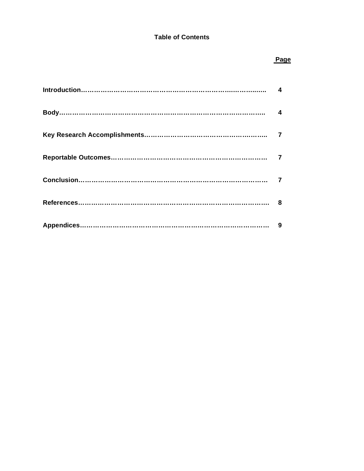#### **Table of Contents**

#### **Page State State State State State State State State State State State State State State State State State St**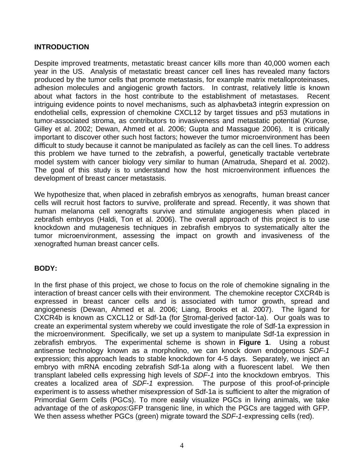#### **INTRODUCTION**

Despite improved treatments, metastatic breast cancer kills more than 40,000 women each year in the US. Analysis of metastatic breast cancer cell lines has revealed many factors produced by the tumor cells that promote metastasis, for example matrix metalloproteinases, adhesion molecules and angiogenic growth factors. In contrast, relatively little is known about what factors in the host contribute to the establishment of metastases. Recent intriguing evidence points to novel mechanisms, such as alphavbeta3 integrin expression on endothelial cells, expression of chemokine CXCL12 by target tissues and p53 mutations in tumor-associated stroma, as contributors to invasiveness and metastatic potential (Kurose, Gilley et al. 2002; Dewan, Ahmed et al. 2006; Gupta and Massague 2006). It is critically important to discover other such host factors; however the tumor microenvironment has been difficult to study because it cannot be manipulated as facilely as can the cell lines. To address this problem we have turned to the zebrafish, a powerful, genetically tractable vertebrate model system with cancer biology very similar to human (Amatruda, Shepard et al. 2002). The goal of this study is to understand how the host microenvironment influences the development of breast cancer metastasis.

We hypothesize that, when placed in zebrafish embryos as xenografts, human breast cancer cells will recruit host factors to survive, proliferate and spread. Recently, it was shown that human melanoma cell xenografts survive and stimulate angiogenesis when placed in zebrafish embryos (Haldi, Ton et al. 2006). The overall approach of this project is to use knockdown and mutagenesis techniques in zebrafish embryos to systematically alter the tumor microenvironment, assessing the impact on growth and invasiveness of the xenografted human breast cancer cells.

# **BODY:**

In the first phase of this project, we chose to focus on the role of chemokine signaling in the interaction of breast cancer cells with their environment. The chemokine receptor CXCR4b is expressed in breast cancer cells and is associated with tumor growth, spread and angiogenesis (Dewan, Ahmed et al. 2006; Liang, Brooks et al. 2007). The ligand for CXCR4b is known as CXCL12 or Sdf-1a (for Stromal-derived factor-1a). Our goals was to create an experimental system whereby we could investigate the role of Sdf-1a expression in the microenvironment. Specifically, we set up a system to manipulate Sdf-1a expression in zebrafish embryos. The experimental scheme is shown in **Figure 1**. Using a robust antisense technology known as a morpholino, we can knock down endogenous *SDF-1* expression; this approach leads to stable knockdown for 4-5 days. Separately, we inject an embryo with mRNA encoding zebrafish Sdf-1a along with a fluorescent label. We then transplant labeled cells expressing high levels of *SDF-1* into the knockdown embryos. This creates a localized area of *SDF-1* expression. The purpose of this proof-of-principle experiment is to assess whether misexpression of Sdf-1a is sufficient to alter the migration of Primordial Germ Cells (PGCs). To more easily visualize PGCs in living animals, we take advantage of the of *askopos*:GFP transgenic line, in which the PGCs are tagged with GFP. We then assess whether PGCs (green) migrate toward the *SDF-1*-expressing cells (red).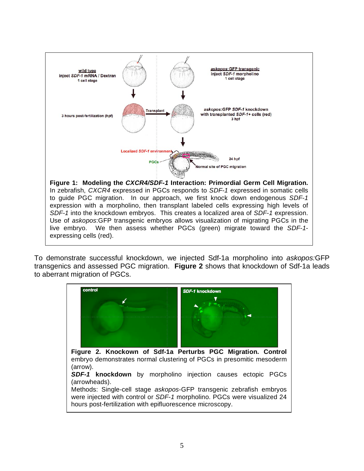

To demonstrate successful knockdown, we injected Sdf-1a morpholino into *askopos:*GFP transgenics and assessed PGC migration. **Figure 2** shows that knockdown of Sdf-1a leads to aberrant migration of PGCs.

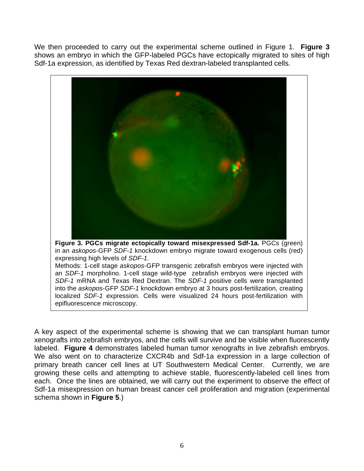We then proceeded to carry out the experimental scheme outlined in Figure 1. **Figure 3** shows an embryo in which the GFP-labeled PGCs have ectopically migrated to sites of high Sdf-1a expression, as identified by Texas Red dextran-labeled transplanted cells.



A key aspect of the experimental scheme is showing that we can transplant human tumor xenografts into zebrafish embryos, and the cells will survive and be visible when fluorescently labeled. **Figure 4** demonstrates labeled human tumor xenografts in live zebrafish embryos. We also went on to characterize CXCR4b and Sdf-1a expression in a large collection of primary breath cancer cell lines at UT Southwestern Medical Center. Currently, we are growing these cells and attempting to achieve stable, fluorescently-labeled cell lines from each. Once the lines are obtained, we will carry out the experiment to observe the effect of Sdf-1a misexpression on human breast cancer cell proliferation and migration (experimental schema shown in **Figure 5**.)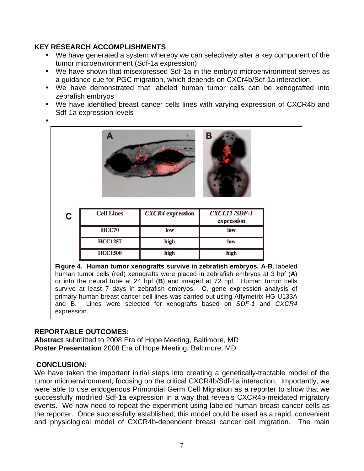# **KEY RESEARCH ACCOMPLISHMENTS**

- We have generated a system whereby we can selectively alter a key component of the tumor microenvironment (Sdf-1a expression)
- We have shown that misexpressed Sdf-1a in the embryo microenvironment serves as a guidance cue for PGC migration, which depends on CXCr4b/Sdf-1a interaction.
- We have demonstrated that labeled human tumor cells can be xenografted into zebrafish embryos
- We have identified breast cancer cells lines with varying expression of CXCR4b and Sdf-1a expression levels
- •



| C | <b>Cell Lines</b> | <b>CXCR4</b> expression | <b>CXCL12 /SDF-1</b><br>expression |
|---|-------------------|-------------------------|------------------------------------|
|   | <b>HCC70</b>      | low                     | low                                |
|   | <b>HCC1257</b>    | high                    | low                                |
|   | <b>HCC1500</b>    | high                    | high                               |

**Figure 4. Human tumor xenografts survive in zebrafish embryos. A-B**, labeled human tumor cells (red) xenografts were placed in zebrafish embryos at 3 hpf (**A**) or into the neural tube at 24 hpf (**B**) and imaged at 72 hpf. Human tumor cells survive at least 7 days in zebrafish embryos. **C**, gene expression analysis of primary human breast cancer cell lines was carried out using Affymetrix HG-U133A and B. Lines were selected for xenografts based on *SDF-1* and *CXCR4*  expression.

# **REPORTABLE OUTCOMES:**

**Abstract** submitted to 2008 Era of Hope Meeting, Baltimore, MD **Poster Presentation** 2008 Era of Hope Meeting, Baltimore, MD

# **CONCLUSION:**

We have taken the important initial steps into creating a genetically-tractable model of the tumor microenvironment, focusing on the critical CXCR4b/Sdf-1a interaction. Importantly, we were able to use endogenous Primordial Germ Cell Migration as a reporter to show that we successfully modified Sdf-1a expression in a way that reveals CXCR4b-meidated migratory events. We now need to repeat the experiment using labeled human breast cancer cells as the reporter. Once successfully established, this model could be used as a rapid, convenient and physiological model of CXCR4b-dependent breast cancer cell migration. The main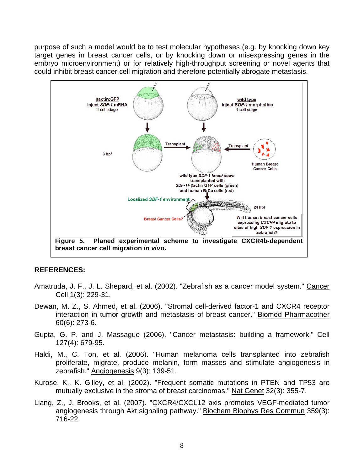purpose of such a model would be to test molecular hypotheses (e.g. by knocking down key target genes in breast cancer cells, or by knocking down or misexpressing genes in the embryo microenvironment) or for relatively high-throughput screening or novel agents that could inhibit breast cancer cell migration and therefore potentially abrogate metastasis.



#### **REFERENCES:**

- Amatruda, J. F., J. L. Shepard, et al. (2002). "Zebrafish as a cancer model system." Cancer Cell 1(3): 229-31.
- Dewan, M. Z., S. Ahmed, et al. (2006). "Stromal cell-derived factor-1 and CXCR4 receptor interaction in tumor growth and metastasis of breast cancer." Biomed Pharmacother 60(6): 273-6.
- Gupta, G. P. and J. Massague (2006). "Cancer metastasis: building a framework." Cell 127(4): 679-95.
- Haldi, M., C. Ton, et al. (2006). "Human melanoma cells transplanted into zebrafish proliferate, migrate, produce melanin, form masses and stimulate angiogenesis in zebrafish." Angiogenesis 9(3): 139-51.
- Kurose, K., K. Gilley, et al. (2002). "Frequent somatic mutations in PTEN and TP53 are mutually exclusive in the stroma of breast carcinomas." Nat Genet 32(3): 355-7.
- Liang, Z., J. Brooks, et al. (2007). "CXCR4/CXCL12 axis promotes VEGF-mediated tumor angiogenesis through Akt signaling pathway." Biochem Biophys Res Commun 359(3): 716-22.